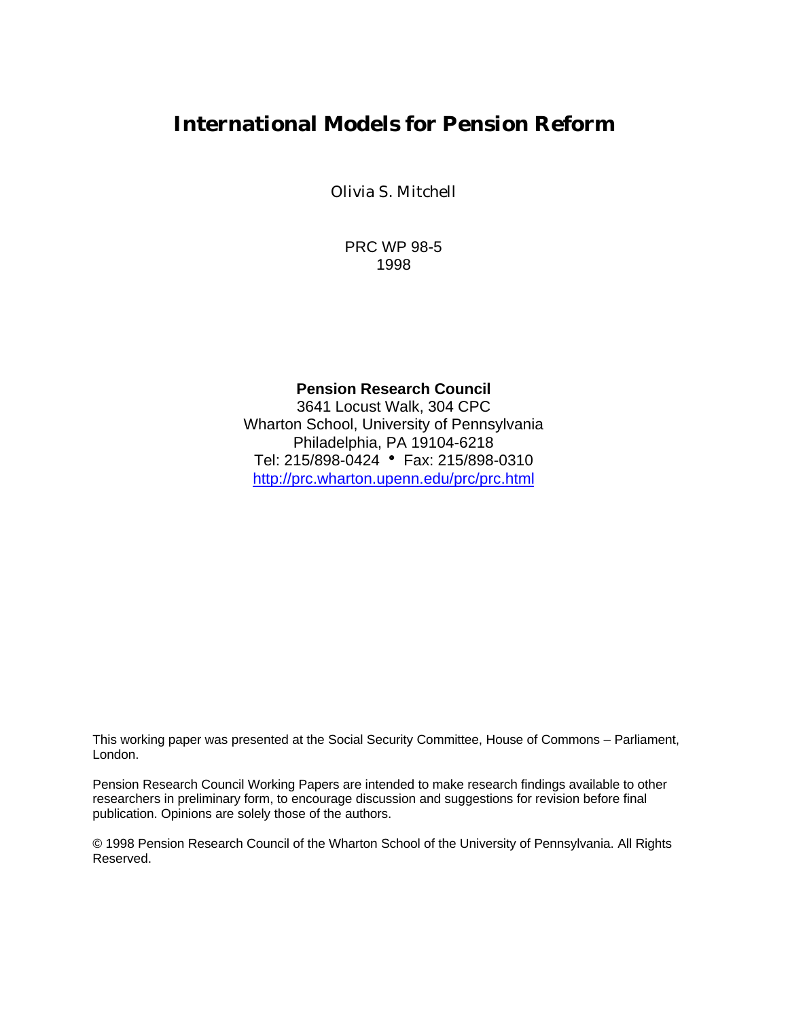# **International Models for Pension Reform**

Olivia S. Mitchell

PRC WP 98-5 1998

#### **Pension Research Council**

3641 Locust Walk, 304 CPC Wharton School, University of Pennsylvania Philadelphia, PA 19104-6218 Tel: 215/898-0424 • Fax: 215/898-0310 http://prc.wharton.upenn.edu/prc/prc.html

This working paper was presented at the Social Security Committee, House of Commons – Parliament, London.

Pension Research Council Working Papers are intended to make research findings available to other researchers in preliminary form, to encourage discussion and suggestions for revision before final publication. Opinions are solely those of the authors.

© 1998 Pension Research Council of the Wharton School of the University of Pennsylvania. All Rights Reserved.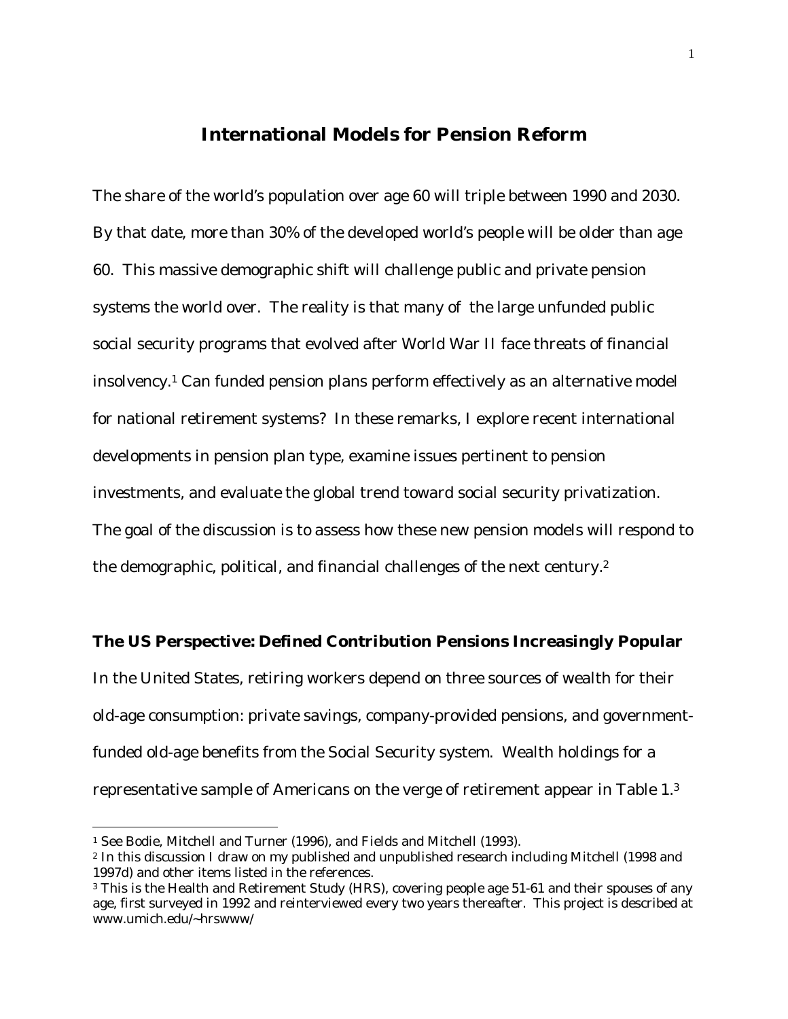### **International Models for Pension Reform**

The share of the world's population over age 60 will triple between 1990 and 2030. By that date, more than 30% of the developed world's people will be older than age 60. This massive demographic shift will challenge public and private pension systems the world over. The reality is that many of the large unfunded public social security programs that evolved after World War II face threats of financial insolvency.1 Can funded pension plans perform effectively as an alternative model for national retirement systems? In these remarks, I explore recent international developments in pension plan type, examine issues pertinent to pension investments, and evaluate the global trend toward social security privatization. The goal of the discussion is to assess how these new pension models will respond to the demographic, political, and financial challenges of the next century.<sup>2</sup>

#### **The US Perspective: Defined Contribution Pensions Increasingly Popular**

In the United States, retiring workers depend on three sources of wealth for their old-age consumption: private savings, company-provided pensions, and governmentfunded old-age benefits from the Social Security system. Wealth holdings for a representative sample of Americans on the verge of retirement appear in Table 1.<sup>3</sup>

<sup>1</sup> See Bodie, Mitchell and Turner (1996), and Fields and Mitchell (1993).

<sup>2</sup> In this discussion I draw on my published and unpublished research including Mitchell (1998 and 1997d) and other items listed in the references.

<sup>&</sup>lt;sup>3</sup> This is the Health and Retirement Study (HRS), covering people age 51-61 and their spouses of any age, first surveyed in 1992 and reinterviewed every two years thereafter. This project is described at www.umich.edu/~hrswww/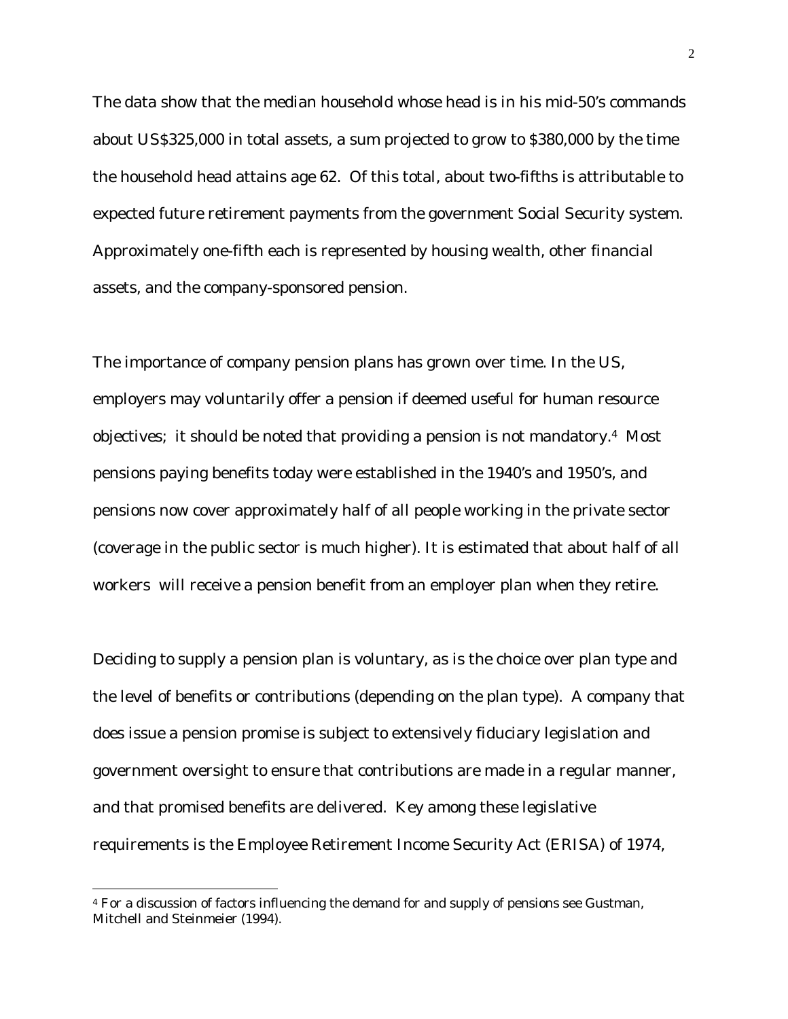The data show that the median household whose head is in his mid-50's commands about US\$325,000 in total assets, a sum projected to grow to \$380,000 by the time the household head attains age 62. Of this total, about two-fifths is attributable to expected future retirement payments from the government Social Security system. Approximately one-fifth each is represented by housing wealth, other financial assets, and the company-sponsored pension.

The importance of company pension plans has grown over time. In the US, employers may voluntarily offer a pension if deemed useful for human resource objectives; it should be noted that providing a pension is not mandatory.4 Most pensions paying benefits today were established in the 1940's and 1950's, and pensions now cover approximately half of all people working in the private sector (coverage in the public sector is much higher). It is estimated that about half of all workers will receive a pension benefit from an employer plan when they retire.

Deciding to supply a pension plan is voluntary, as is the choice over plan type and the level of benefits or contributions (depending on the plan type). A company that does issue a pension promise is subject to extensively fiduciary legislation and government oversight to ensure that contributions are made in a regular manner, and that promised benefits are delivered. Key among these legislative requirements is the Employee Retirement Income Security Act (ERISA) of 1974,

<sup>4</sup> For a discussion of factors influencing the demand for and supply of pensions see Gustman, Mitchell and Steinmeier (1994).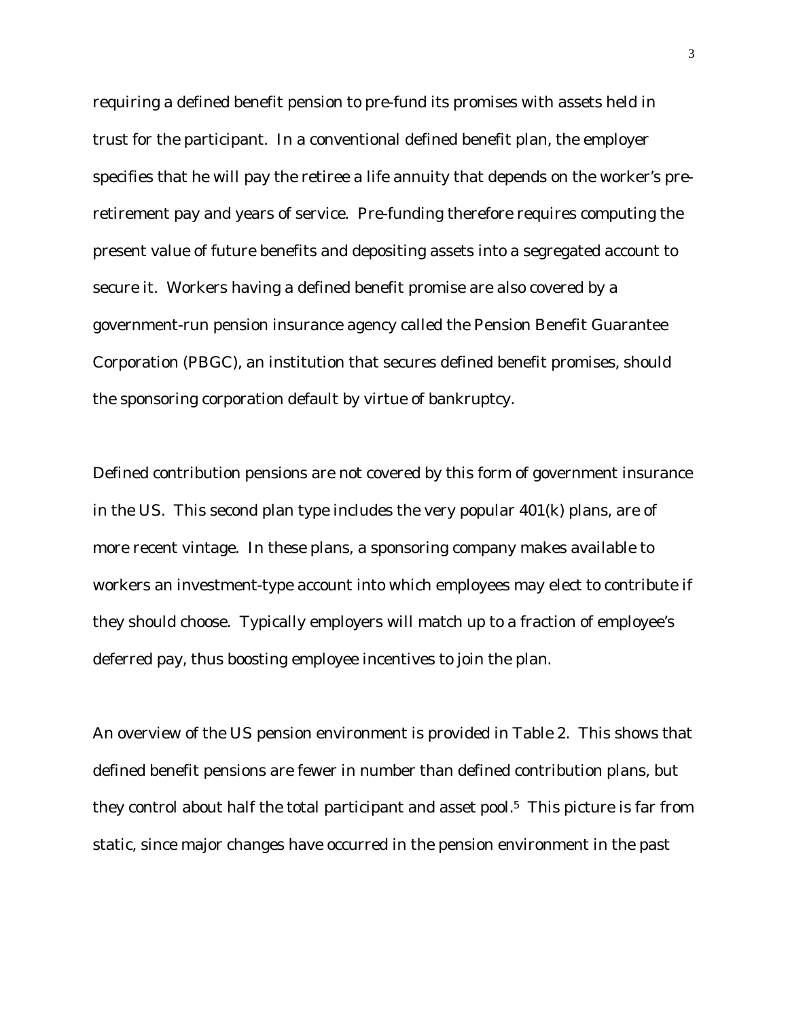requiring a defined benefit pension to pre-fund its promises with assets held in trust for the participant. In a conventional defined benefit plan, the employer specifies that he will pay the retiree a life annuity that depends on the worker's preretirement pay and years of service. Pre-funding therefore requires computing the present value of future benefits and depositing assets into a segregated account to secure it. Workers having a defined benefit promise are also covered by a government-run pension insurance agency called the Pension Benefit Guarantee Corporation (PBGC), an institution that secures defined benefit promises, should the sponsoring corporation default by virtue of bankruptcy.

Defined contribution pensions are not covered by this form of government insurance in the US. This second plan type includes the very popular 401(k) plans, are of more recent vintage. In these plans, a sponsoring company makes available to workers an investment-type account into which employees may elect to contribute if they should choose. Typically employers will match up to a fraction of employee's deferred pay, thus boosting employee incentives to join the plan.

An overview of the US pension environment is provided in Table 2. This shows that defined benefit pensions are fewer in number than defined contribution plans, but they control about half the total participant and asset pool.5 This picture is far from static, since major changes have occurred in the pension environment in the past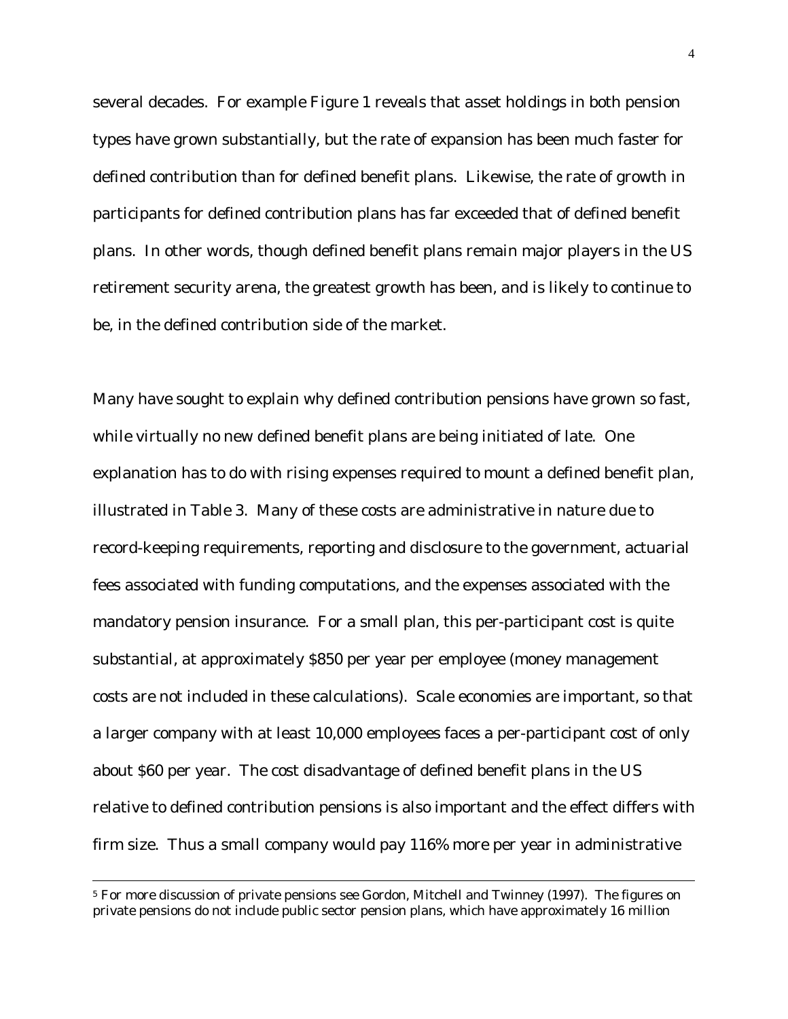several decades. For example Figure 1 reveals that asset holdings in both pension types have grown substantially, but the rate of expansion has been much faster for defined contribution than for defined benefit plans. Likewise, the rate of growth in participants for defined contribution plans has far exceeded that of defined benefit plans. In other words, though defined benefit plans remain major players in the US retirement security arena, the greatest growth has been, and is likely to continue to be, in the defined contribution side of the market.

Many have sought to explain why defined contribution pensions have grown so fast, while virtually no new defined benefit plans are being initiated of late. One explanation has to do with rising expenses required to mount a defined benefit plan, illustrated in Table 3. Many of these costs are administrative in nature due to record-keeping requirements, reporting and disclosure to the government, actuarial fees associated with funding computations, and the expenses associated with the mandatory pension insurance. For a small plan, this per-participant cost is quite substantial, at approximately \$850 per year per employee (money management costs are not included in these calculations). Scale economies are important, so that a larger company with at least 10,000 employees faces a per-participant cost of only about \$60 per year. The cost disadvantage of defined benefit plans in the US relative to defined contribution pensions is also important and the effect differs with firm size. Thus a small company would pay 116% more per year in administrative

<sup>5</sup> For more discussion of private pensions see Gordon, Mitchell and Twinney (1997). The figures on private pensions do not include public sector pension plans, which have approximately 16 million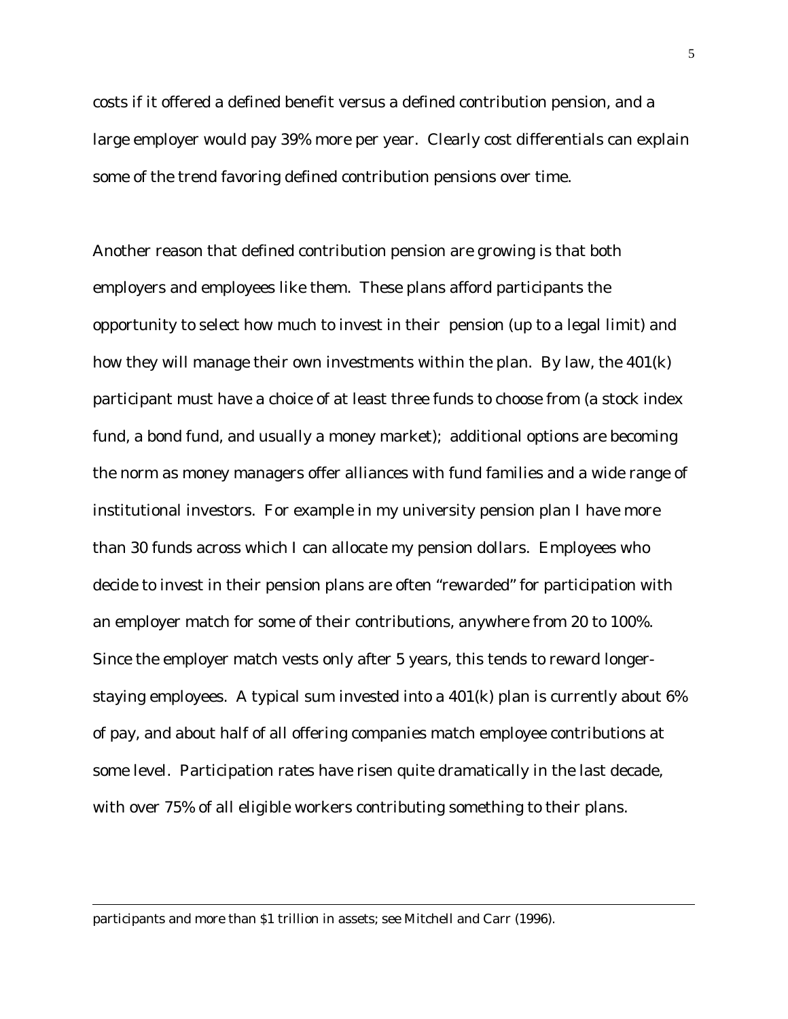costs if it offered a defined benefit versus a defined contribution pension, and a large employer would pay 39% more per year. Clearly cost differentials can explain some of the trend favoring defined contribution pensions over time.

Another reason that defined contribution pension are growing is that both employers and employees like them. These plans afford participants the opportunity to select how much to invest in their pension (up to a legal limit) and how they will manage their own investments within the plan. By law, the 401(k) participant must have a choice of at least three funds to choose from (a stock index fund, a bond fund, and usually a money market); additional options are becoming the norm as money managers offer alliances with fund families and a wide range of institutional investors. For example in my university pension plan I have more than 30 funds across which I can allocate my pension dollars. Employees who decide to invest in their pension plans are often "rewarded" for participation with an employer match for some of their contributions, anywhere from 20 to 100%. Since the employer match vests only after 5 years, this tends to reward longerstaying employees. A typical sum invested into a 401(k) plan is currently about 6% of pay, and about half of all offering companies match employee contributions at some level. Participation rates have risen quite dramatically in the last decade, with over 75% of all eligible workers contributing something to their plans.

participants and more than \$1 trillion in assets; see Mitchell and Carr (1996).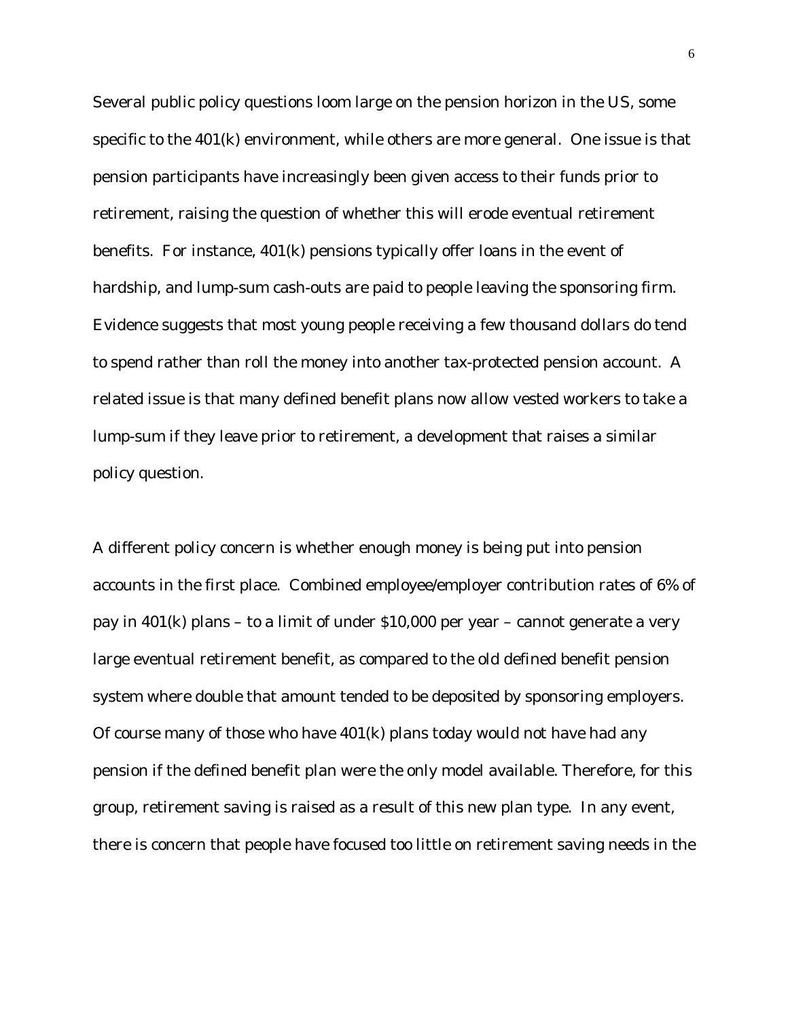Several public policy questions loom large on the pension horizon in the US, some specific to the 401(k) environment, while others are more general. One issue is that pension participants have increasingly been given access to their funds prior to retirement, raising the question of whether this will erode eventual retirement benefits. For instance, 401(k) pensions typically offer loans in the event of hardship, and lump-sum cash-outs are paid to people leaving the sponsoring firm. Evidence suggests that most young people receiving a few thousand dollars do tend to spend rather than roll the money into another tax-protected pension account. A related issue is that many defined benefit plans now allow vested workers to take a lump-sum if they leave prior to retirement, a development that raises a similar policy question.

A different policy concern is whether enough money is being put into pension accounts in the first place. Combined employee/employer contribution rates of 6% of pay in 401(k) plans – to a limit of under \$10,000 per year – cannot generate a very large eventual retirement benefit, as compared to the old defined benefit pension system where double that amount tended to be deposited by sponsoring employers. Of course many of those who have 401(k) plans today would not have had any pension if the defined benefit plan were the only model available. Therefore, for this group, retirement saving is raised as a result of this new plan type. In any event, there is concern that people have focused too little on retirement saving needs in the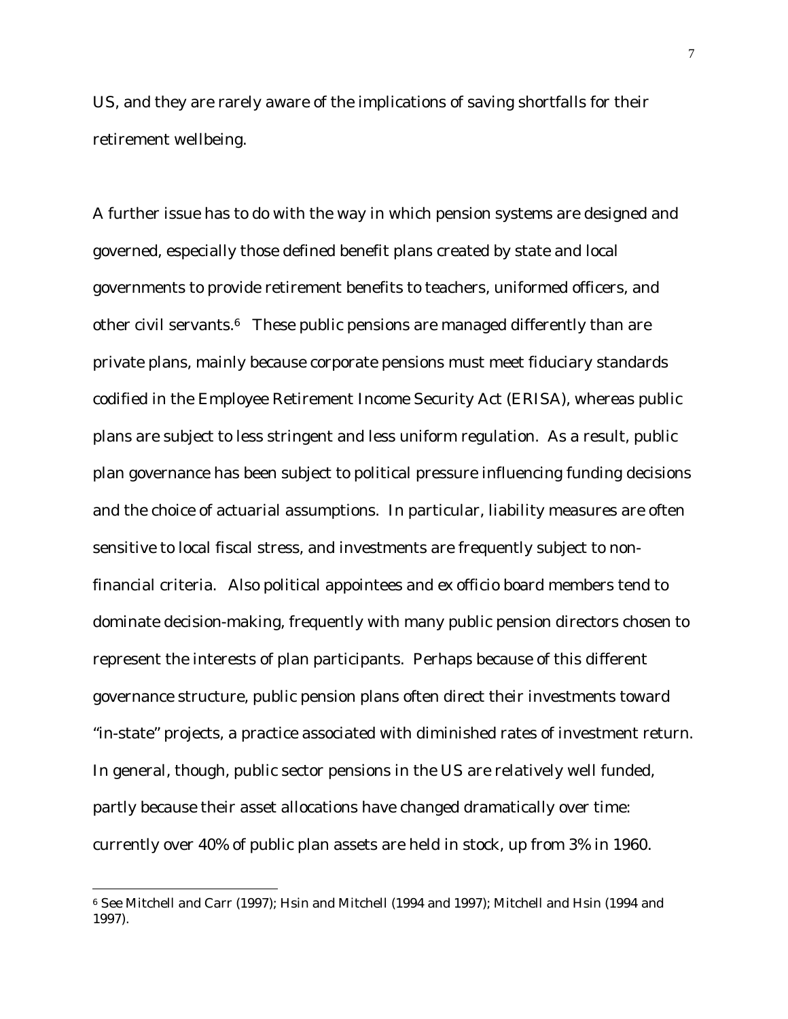US, and they are rarely aware of the implications of saving shortfalls for their retirement wellbeing.

A further issue has to do with the way in which pension systems are designed and governed, especially those defined benefit plans created by state and local governments to provide retirement benefits to teachers, uniformed officers, and other civil servants.6 These public pensions are managed differently than are private plans, mainly because corporate pensions must meet fiduciary standards codified in the Employee Retirement Income Security Act (ERISA), whereas public plans are subject to less stringent and less uniform regulation. As a result, public plan governance has been subject to political pressure influencing funding decisions and the choice of actuarial assumptions. In particular, liability measures are often sensitive to local fiscal stress, and investments are frequently subject to nonfinancial criteria. Also political appointees and *ex officio* board members tend to dominate decision-making, frequently with many public pension directors chosen to represent the interests of plan participants. Perhaps because of this different governance structure, public pension plans often direct their investments toward "in-state" projects, a practice associated with diminished rates of investment return. In general, though, public sector pensions in the US are relatively well funded, partly because their asset allocations have changed dramatically over time: currently over 40% of public plan assets are held in stock, up from 3% in 1960.

<sup>6</sup> See Mitchell and Carr (1997); Hsin and Mitchell (1994 and 1997); Mitchell and Hsin (1994 and 1997).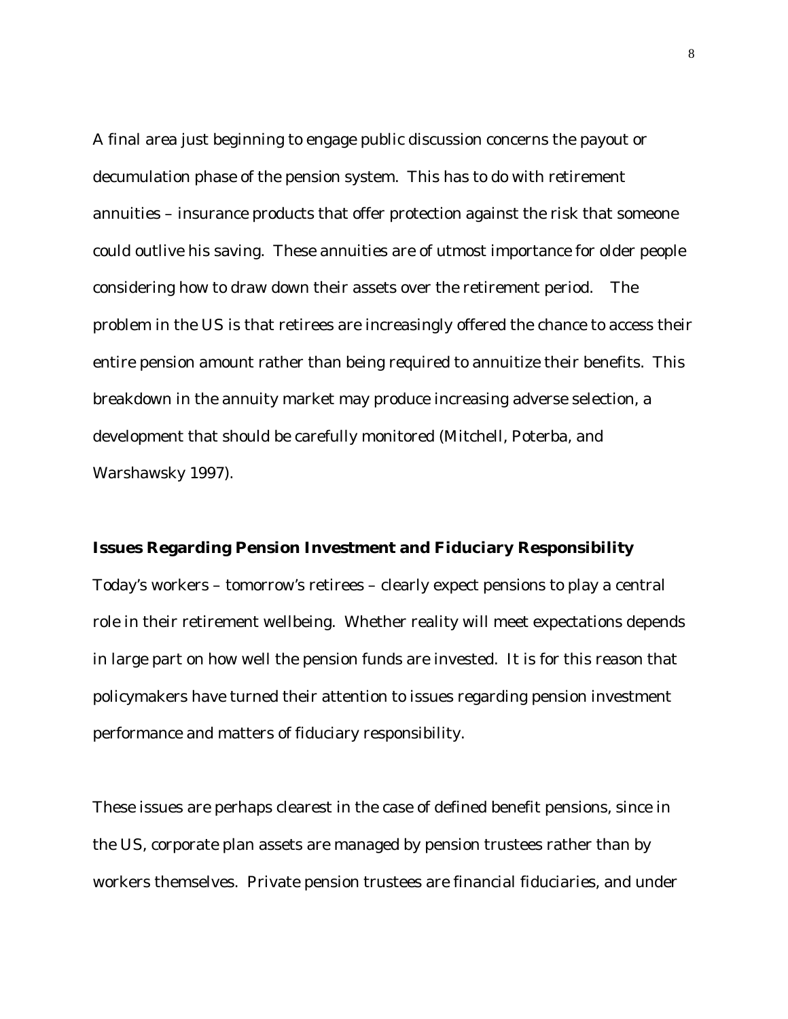A final area just beginning to engage public discussion concerns the payout or decumulation phase of the pension system. This has to do with retirement annuities – insurance products that offer protection against the risk that someone could outlive his saving. These annuities are of utmost importance for older people considering how to draw down their assets over the retirement period. The problem in the US is that retirees are increasingly offered the chance to access their entire pension amount rather than being required to annuitize their benefits. This breakdown in the annuity market may produce increasing adverse selection, a development that should be carefully monitored (Mitchell, Poterba, and Warshawsky 1997).

#### **Issues Regarding Pension Investment and Fiduciary Responsibility**

Today's workers – tomorrow's retirees – clearly expect pensions to play a central role in their retirement wellbeing. Whether reality will meet expectations depends in large part on how well the pension funds are invested. It is for this reason that policymakers have turned their attention to issues regarding pension investment performance and matters of fiduciary responsibility.

These issues are perhaps clearest in the case of defined benefit pensions, since in the US, corporate plan assets are managed by pension trustees rather than by workers themselves. Private pension trustees are financial fiduciaries, and under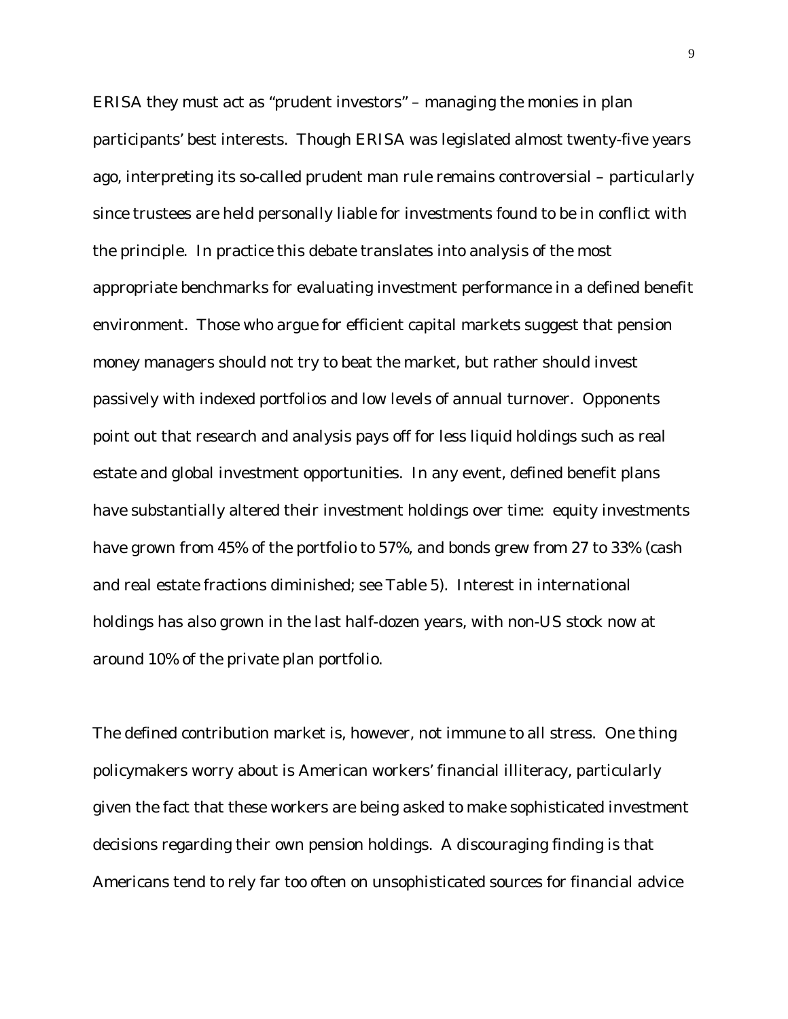ERISA they must act as "prudent investors" – managing the monies in plan participants' best interests. Though ERISA was legislated almost twenty-five years ago, interpreting its so-called prudent man rule remains controversial – particularly since trustees are held personally liable for investments found to be in conflict with the principle. In practice this debate translates into analysis of the most appropriate benchmarks for evaluating investment performance in a defined benefit environment. Those who argue for efficient capital markets suggest that pension money managers should not try to beat the market, but rather should invest passively with indexed portfolios and low levels of annual turnover. Opponents point out that research and analysis pays off for less liquid holdings such as real estate and global investment opportunities. In any event, defined benefit plans have substantially altered their investment holdings over time: equity investments have grown from 45% of the portfolio to 57%, and bonds grew from 27 to 33% (cash and real estate fractions diminished; see Table 5). Interest in international holdings has also grown in the last half-dozen years, with non-US stock now at around 10% of the private plan portfolio.

The defined contribution market is, however, not immune to all stress. One thing policymakers worry about is American workers' financial illiteracy, particularly given the fact that these workers are being asked to make sophisticated investment decisions regarding their own pension holdings. A discouraging finding is that Americans tend to rely far too often on unsophisticated sources for financial advice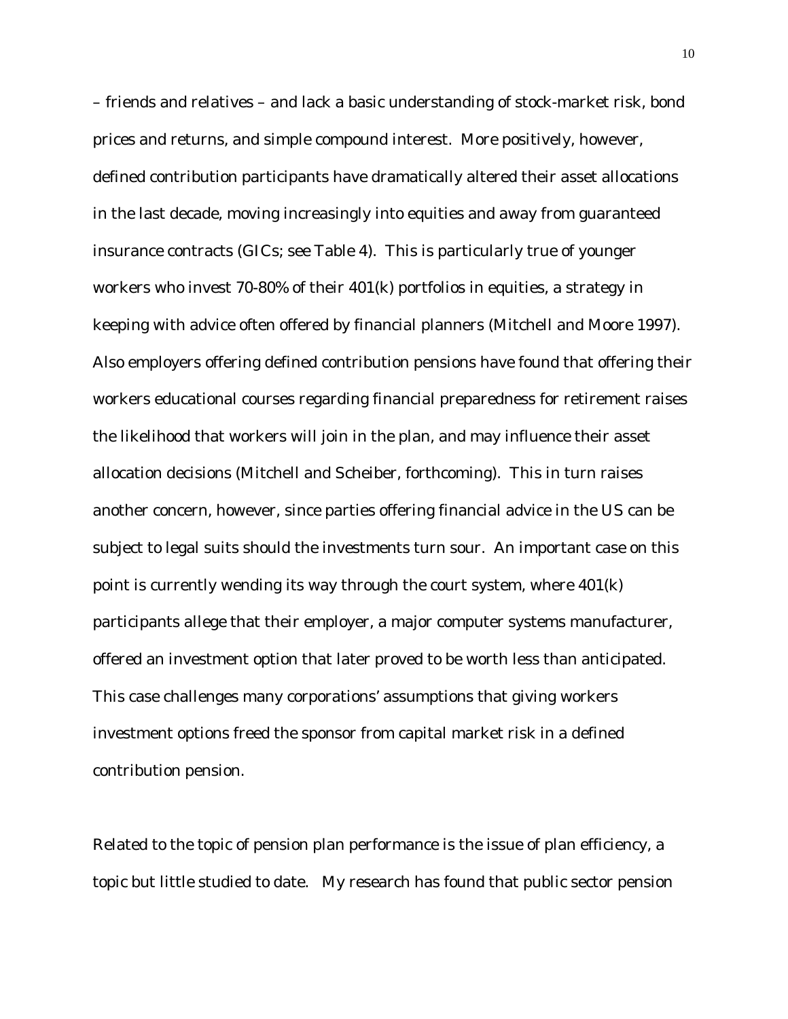– friends and relatives – and lack a basic understanding of stock-market risk, bond prices and returns, and simple compound interest. More positively, however, defined contribution participants have dramatically altered their asset allocations in the last decade, moving increasingly into equities and away from guaranteed insurance contracts (GICs; see Table 4). This is particularly true of younger workers who invest 70-80% of their 401(k) portfolios in equities, a strategy in keeping with advice often offered by financial planners (Mitchell and Moore 1997). Also employers offering defined contribution pensions have found that offering their workers educational courses regarding financial preparedness for retirement raises the likelihood that workers will join in the plan, and may influence their asset allocation decisions (Mitchell and Scheiber, forthcoming). This in turn raises another concern, however, since parties offering financial advice in the US can be subject to legal suits should the investments turn sour. An important case on this point is currently wending its way through the court system, where 401(k) participants allege that their employer, a major computer systems manufacturer, offered an investment option that later proved to be worth less than anticipated. This case challenges many corporations' assumptions that giving workers investment options freed the sponsor from capital market risk in a defined contribution pension.

Related to the topic of pension plan performance is the issue of plan efficiency, a topic but little studied to date. My research has found that public sector pension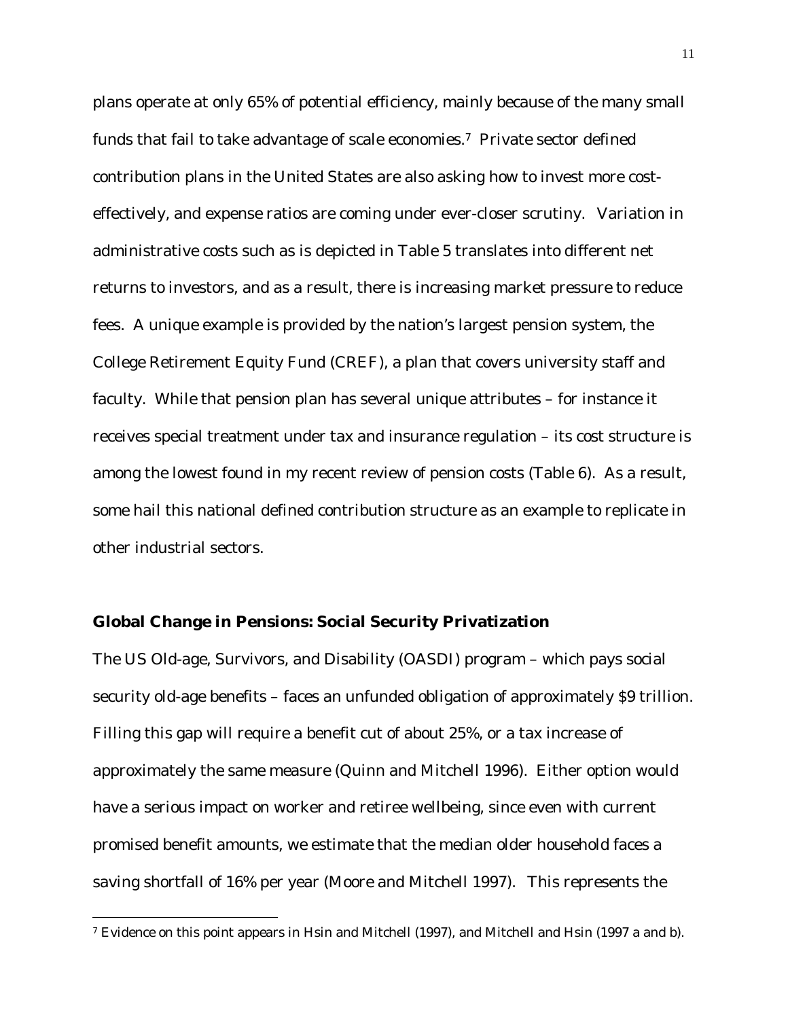plans operate at only 65% of potential efficiency, mainly because of the many small funds that fail to take advantage of scale economies.7 Private sector defined contribution plans in the United States are also asking how to invest more costeffectively, and expense ratios are coming under ever-closer scrutiny. Variation in administrative costs such as is depicted in Table 5 translates into different net returns to investors, and as a result, there is increasing market pressure to reduce fees. A unique example is provided by the nation's largest pension system, the College Retirement Equity Fund (CREF), a plan that covers university staff and faculty. While that pension plan has several unique attributes – for instance it receives special treatment under tax and insurance regulation – its cost structure is among the lowest found in my recent review of pension costs (Table 6). As a result, some hail this national defined contribution structure as an example to replicate in other industrial sectors.

#### **Global Change in Pensions: Social Security Privatization**

 $\overline{a}$ 

The US Old-age, Survivors, and Disability (OASDI) program – which pays social security old-age benefits – faces an unfunded obligation of approximately \$9 trillion. Filling this gap will require a benefit cut of about 25%, or a tax increase of approximately the same measure (Quinn and Mitchell 1996). Either option would have a serious impact on worker and retiree wellbeing, since even with current promised benefit amounts, we estimate that the median older household faces a saving shortfall of 16% per year (Moore and Mitchell 1997). This represents the

<sup>7</sup> Evidence on this point appears in Hsin and Mitchell (1997), and Mitchell and Hsin (1997 a and b).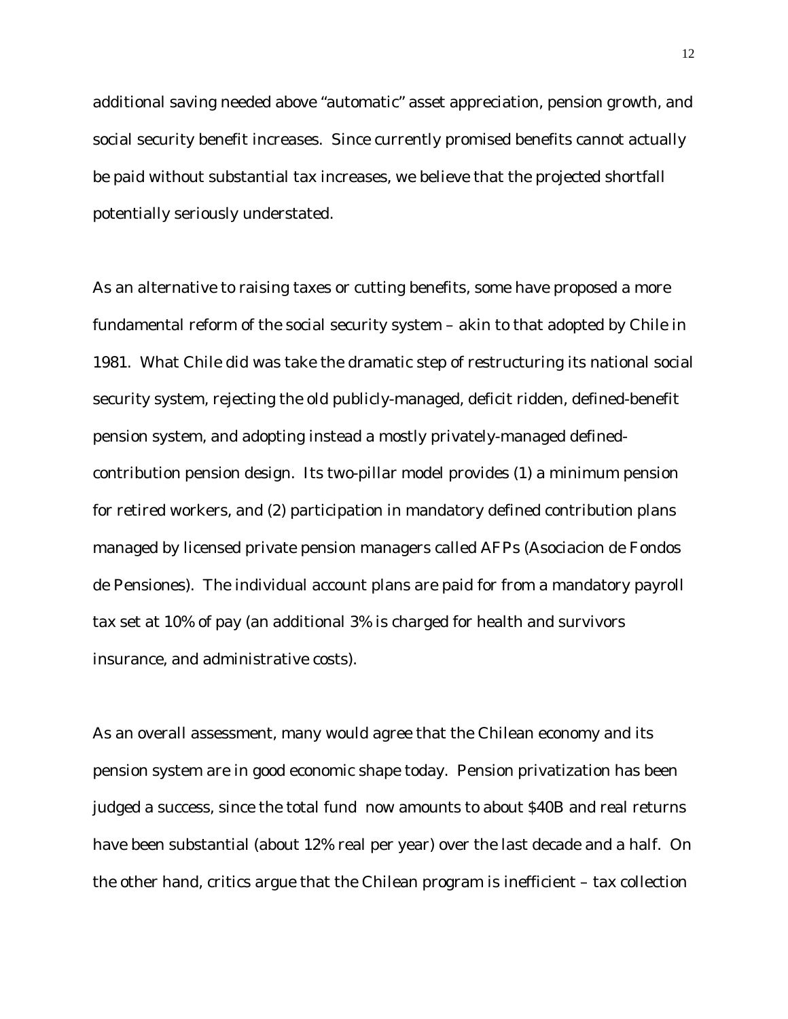additional saving needed above "automatic" asset appreciation, pension growth, and social security benefit increases. Since currently promised benefits cannot actually be paid without substantial tax increases, we believe that the projected shortfall potentially seriously understated.

As an alternative to raising taxes or cutting benefits, some have proposed a more fundamental reform of the social security system – akin to that adopted by Chile in 1981. What Chile did was take the dramatic step of restructuring its national social security system, rejecting the old publicly-managed, deficit ridden, defined-benefit pension system, and adopting instead a mostly privately-managed definedcontribution pension design. Its two-pillar model provides (1) a minimum pension for retired workers, and (2) participation in mandatory defined contribution plans managed by licensed private pension managers called AFPs (Asociacion de Fondos de Pensiones). The individual account plans are paid for from a mandatory payroll tax set at 10% of pay (an additional 3% is charged for health and survivors insurance, and administrative costs).

As an overall assessment, many would agree that the Chilean economy and its pension system are in good economic shape today. Pension privatization has been judged a success, since the total fund now amounts to about \$40B and real returns have been substantial (about 12% real per year) over the last decade and a half. On the other hand, critics argue that the Chilean program is inefficient – tax collection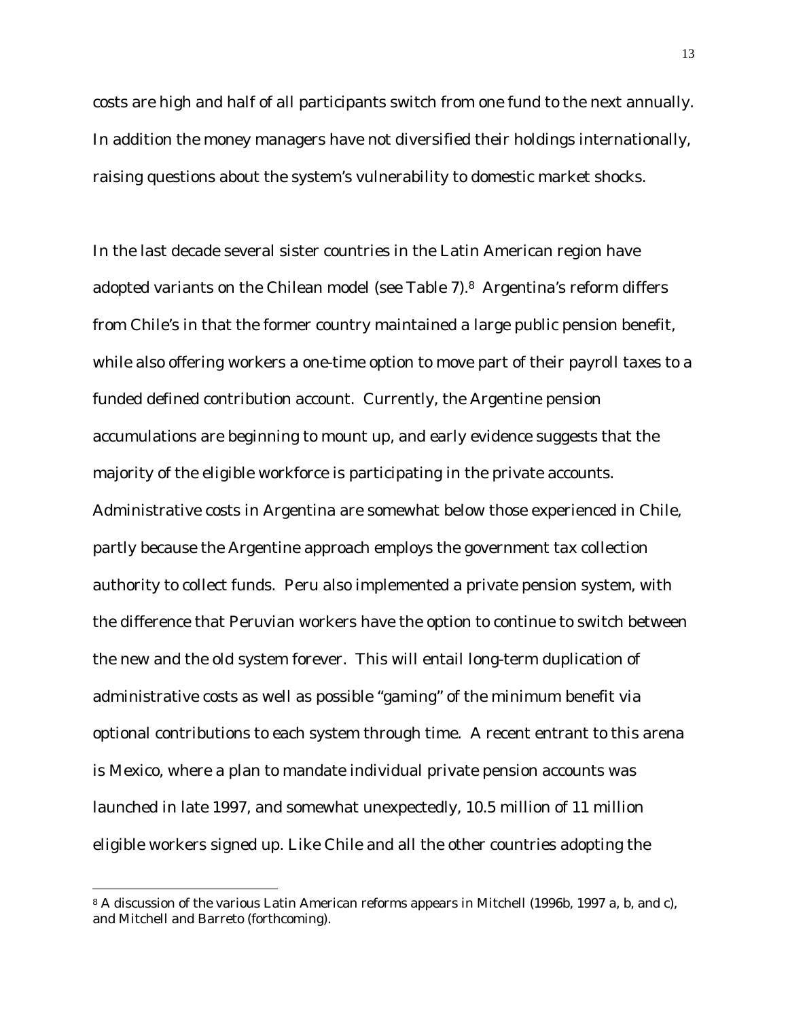costs are high and half of all participants switch from one fund to the next annually. In addition the money managers have not diversified their holdings internationally, raising questions about the system's vulnerability to domestic market shocks.

In the last decade several sister countries in the Latin American region have adopted variants on the Chilean model (see Table 7).8 Argentina's reform differs from Chile's in that the former country maintained a large public pension benefit, while also offering workers a one-time option to move part of their payroll taxes to a funded defined contribution account. Currently, the Argentine pension accumulations are beginning to mount up, and early evidence suggests that the majority of the eligible workforce is participating in the private accounts. Administrative costs in Argentina are somewhat below those experienced in Chile, partly because the Argentine approach employs the government tax collection authority to collect funds. Peru also implemented a private pension system, with the difference that Peruvian workers have the option to continue to switch between the new and the old system forever. This will entail long-term duplication of administrative costs as well as possible "gaming" of the minimum benefit via optional contributions to each system through time. A recent entrant to this arena is Mexico, where a plan to mandate individual private pension accounts was launched in late 1997, and somewhat unexpectedly, 10.5 million of 11 million eligible workers signed up. Like Chile and all the other countries adopting the

<sup>8</sup> A discussion of the various Latin American reforms appears in Mitchell (1996b, 1997 a, b, and c), and Mitchell and Barreto (forthcoming).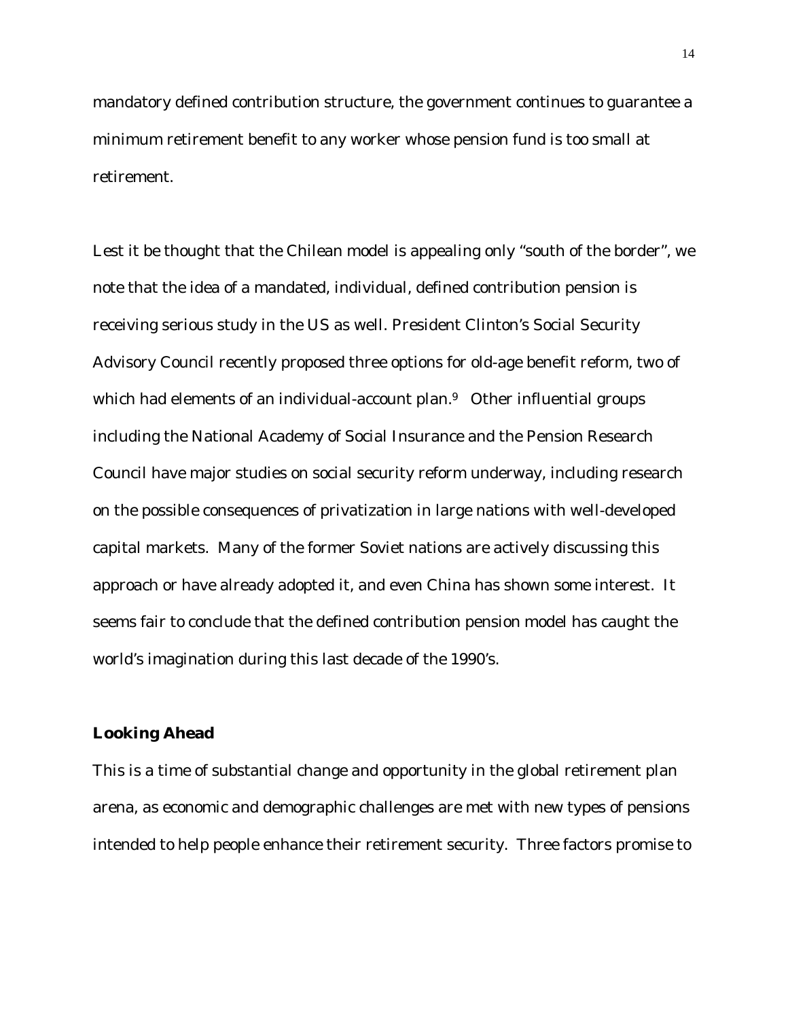mandatory defined contribution structure, the government continues to guarantee a minimum retirement benefit to any worker whose pension fund is too small at retirement.

Lest it be thought that the Chilean model is appealing only "south of the border", we note that the idea of a mandated, individual, defined contribution pension is receiving serious study in the US as well. President Clinton's Social Security Advisory Council recently proposed three options for old-age benefit reform, two of which had elements of an individual-account plan.<sup>9</sup> Other influential groups including the National Academy of Social Insurance and the Pension Research Council have major studies on social security reform underway, including research on the possible consequences of privatization in large nations with well-developed capital markets. Many of the former Soviet nations are actively discussing this approach or have already adopted it, and even China has shown some interest. It seems fair to conclude that the defined contribution pension model has caught the world's imagination during this last decade of the 1990's.

#### **Looking Ahead**

This is a time of substantial change and opportunity in the global retirement plan arena, as economic and demographic challenges are met with new types of pensions intended to help people enhance their retirement security. Three factors promise to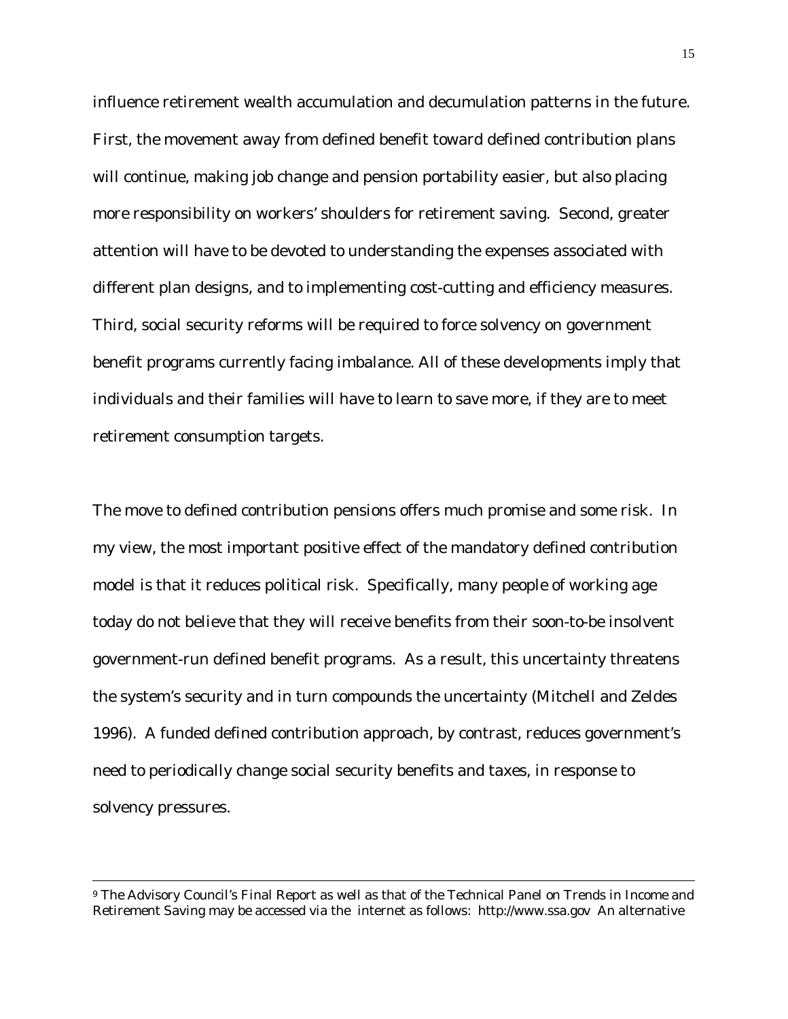influence retirement wealth accumulation and decumulation patterns in the future. First, the movement away from defined benefit toward defined contribution plans will continue, making job change and pension portability easier, but also placing more responsibility on workers' shoulders for retirement saving. Second, greater attention will have to be devoted to understanding the expenses associated with different plan designs, and to implementing cost-cutting and efficiency measures. Third, social security reforms will be required to force solvency on government benefit programs currently facing imbalance. All of these developments imply that individuals and their families will have to learn to save more, if they are to meet retirement consumption targets.

The move to defined contribution pensions offers much promise and some risk. In my view, the most important positive effect of the mandatory defined contribution model is that it reduces political risk. Specifically, many people of working age today do not believe that they will receive benefits from their soon-to-be insolvent government-run defined benefit programs. As a result, this uncertainty threatens the system's security and in turn compounds the uncertainty (Mitchell and Zeldes 1996). A funded defined contribution approach, by contrast, reduces government's need to periodically change social security benefits and taxes, in response to solvency pressures.

<sup>9</sup> The Advisory Council's Final Report as well as that of the Technical Panel on Trends in Income and Retirement Saving may be accessed via the internet as follows: http://www.ssa.gov An alternative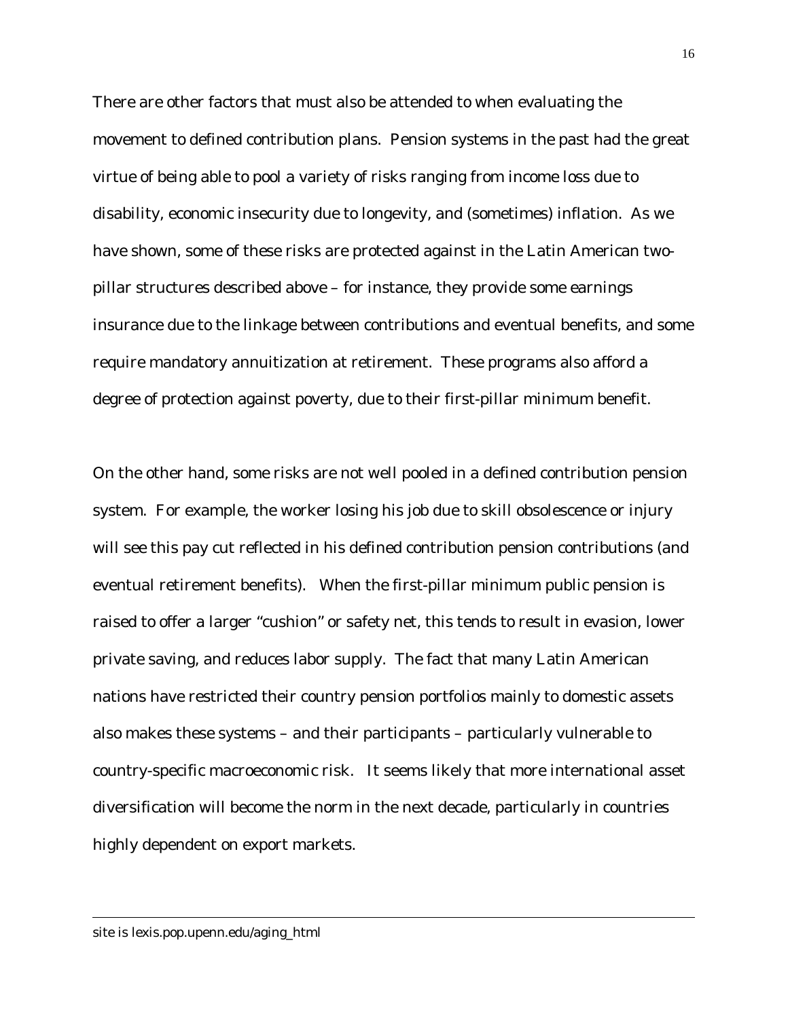There are other factors that must also be attended to when evaluating the movement to defined contribution plans. Pension systems in the past had the great virtue of being able to pool a variety of risks ranging from income loss due to disability, economic insecurity due to longevity, and (sometimes) inflation. As we have shown, some of these risks are protected against in the Latin American twopillar structures described above – for instance, they provide some earnings insurance due to the linkage between contributions and eventual benefits, and some require mandatory annuitization at retirement. These programs also afford a degree of protection against poverty, due to their first-pillar minimum benefit.

On the other hand, some risks are not well pooled in a defined contribution pension system. For example, the worker losing his job due to skill obsolescence or injury will see this pay cut reflected in his defined contribution pension contributions (and eventual retirement benefits). When the first-pillar minimum public pension is raised to offer a larger "cushion" or safety net, this tends to result in evasion, lower private saving, and reduces labor supply. The fact that many Latin American nations have restricted their country pension portfolios mainly to domestic assets also makes these systems – and their participants – particularly vulnerable to country-specific macroeconomic risk. It seems likely that more international asset diversification will become the norm in the next decade, particularly in countries highly dependent on export markets.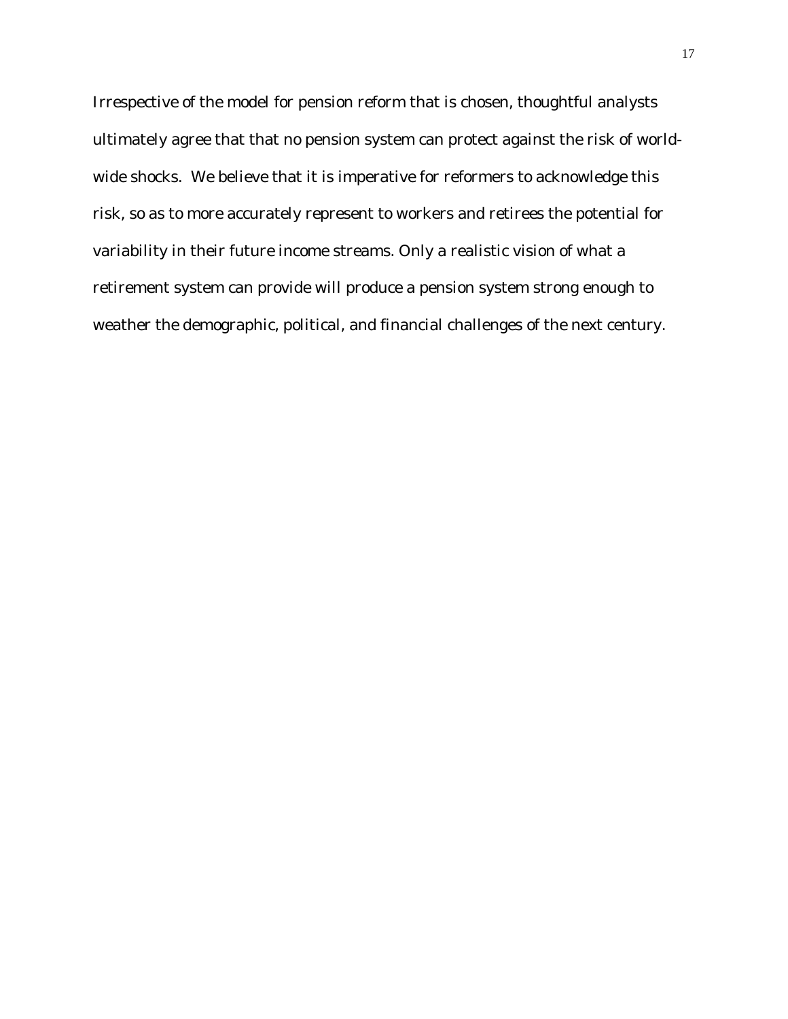Irrespective of the model for pension reform that is chosen, thoughtful analysts ultimately agree that that no pension system can protect against the risk of worldwide shocks. We believe that it is imperative for reformers to acknowledge this risk, so as to more accurately represent to workers and retirees the potential for variability in their future income streams. Only a realistic vision of what a retirement system can provide will produce a pension system strong enough to weather the demographic, political, and financial challenges of the next century.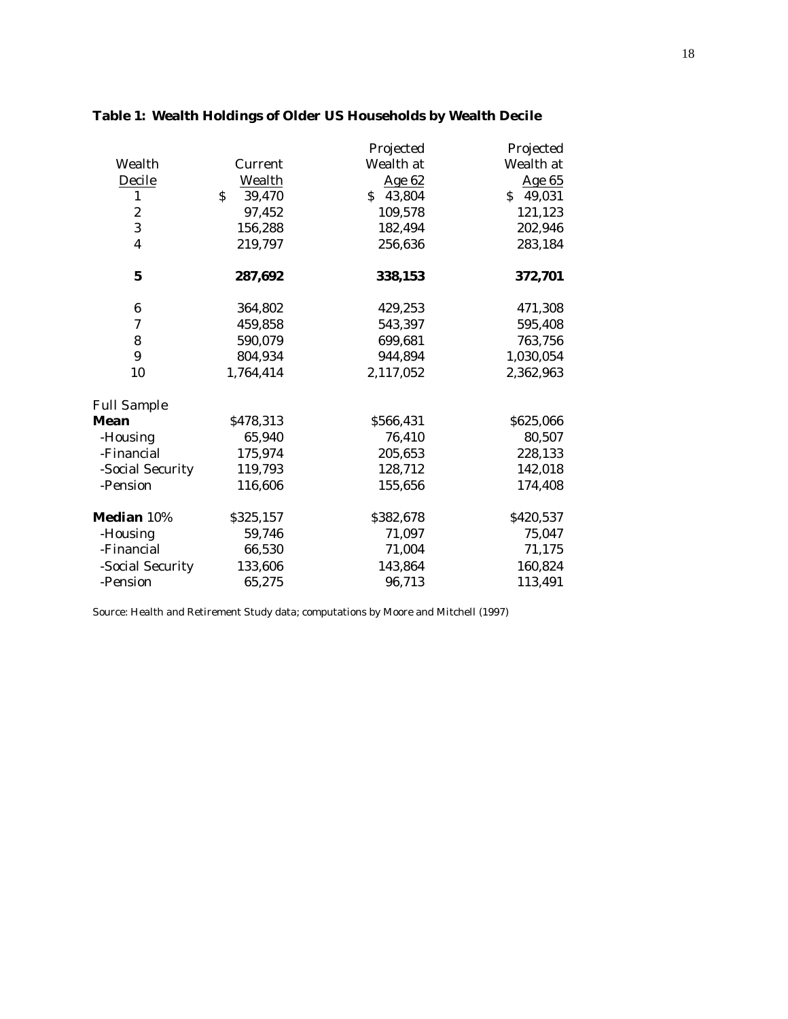|                         |                        | Projected | Projected |
|-------------------------|------------------------|-----------|-----------|
| Wealth                  | Current                | Wealth at | Wealth at |
| Decile                  | <b>Wealth</b>          | Age 62    | Age 65    |
| $\mathbf{1}$            | $\mathsf{S}$<br>39,470 | \$43,804  | \$49,031  |
| $\boldsymbol{2}$        | 97,452                 | 109,578   | 121,123   |
| 3                       | 156,288                | 182,494   | 202,946   |
| $\overline{\mathbf{4}}$ | 219,797                | 256,636   | 283,184   |
| $\mathbf 5$             | 287,692                | 338,153   | 372,701   |
| $\boldsymbol{6}$        | 364,802                | 429,253   | 471,308   |
| 7                       | 459,858                | 543,397   | 595,408   |
| 8                       | 590,079                | 699,681   | 763,756   |
| 9                       | 804,934                | 944,894   | 1,030,054 |
| 10                      | 1,764,414              | 2,117,052 | 2,362,963 |
| <b>Full Sample</b>      |                        |           |           |
| <b>Mean</b>             | \$478,313              | \$566,431 | \$625,066 |
| -Housing                | 65,940                 | 76,410    | 80,507    |
| -Financial              | 175,974                | 205,653   | 228,133   |
| -Social Security        | 119,793                | 128,712   | 142,018   |
| -Pension                | 116,606                | 155,656   | 174,408   |
| Median 10%              | \$325,157              | \$382,678 | \$420,537 |
| -Housing                | 59,746                 | 71,097    | 75,047    |
| -Financial              | 66,530                 | 71,004    | 71,175    |
| -Social Security        | 133,606                | 143,864   | 160,824   |
| -Pension                | 65,275                 | 96,713    | 113,491   |

# **Table 1: Wealth Holdings of Older US Households by Wealth Decile**

Source: Health and Retirement Study data; computations by Moore and Mitchell (1997)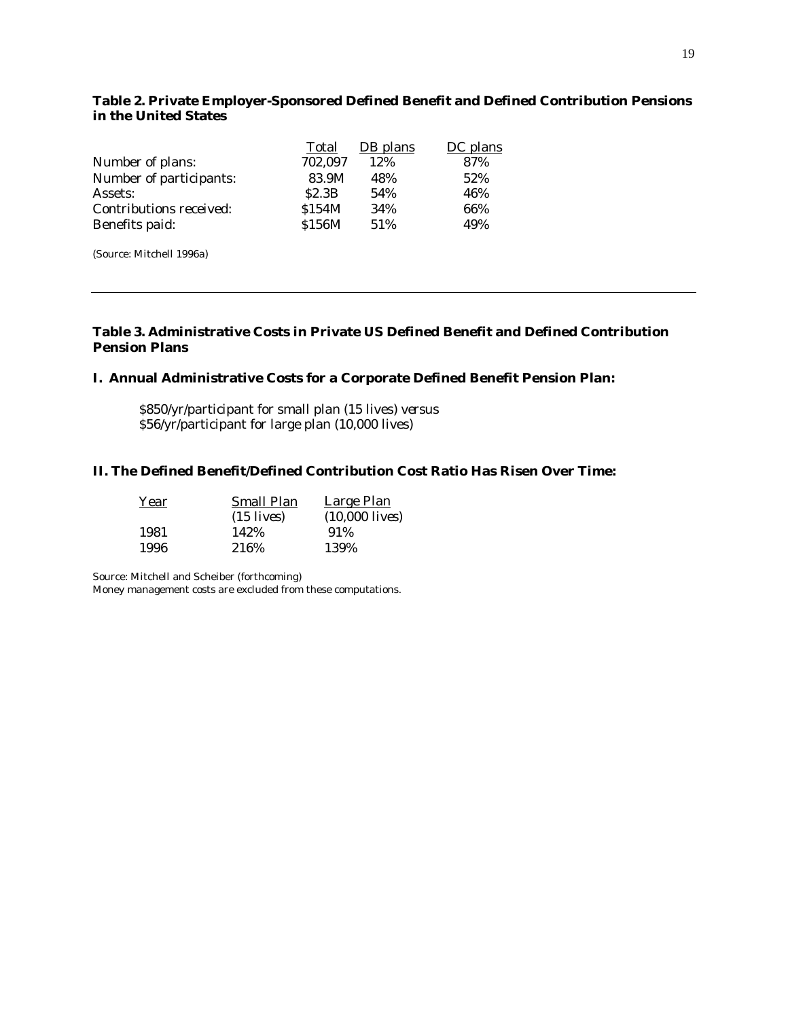#### **Table 2. Private Employer-Sponsored Defined Benefit and Defined Contribution Pensions in the United States**

|                         | Total   | DB plans | DC plans |
|-------------------------|---------|----------|----------|
| Number of plans:        | 702,097 | 12%      | 87%      |
| Number of participants: | 83.9M   | 48%      | 52%      |
| Assets:                 | S2.3B   | 54%      | 46%      |
| Contributions received: | \$154M  | 34%      | 66%      |
| Benefits paid:          | \$156M  | 51%      | 49%      |
|                         |         |          |          |

(Source: Mitchell 1996a)

#### **Table 3. Administrative Costs in Private US Defined Benefit and Defined Contribution Pension Plans**

#### **I. Annual Administrative Costs for a Corporate Defined Benefit Pension Plan:**

\$850/yr/participant for small plan (15 lives) *versus* \$56/yr/participant for large plan (10,000 lives)

#### **II. The Defined Benefit/Defined Contribution Cost Ratio Has Risen Over Time:**

| Year | <b>Small Plan</b>    | <b>Large Plan</b> |
|------|----------------------|-------------------|
|      | $(15 \text{ lives})$ | $(10,000$ lives)  |
| 1981 | 142%                 | 91\%              |
| 1996 | 216\%                | 139%              |

Source: Mitchell and Scheiber (forthcoming)

Money management costs are excluded from these computations.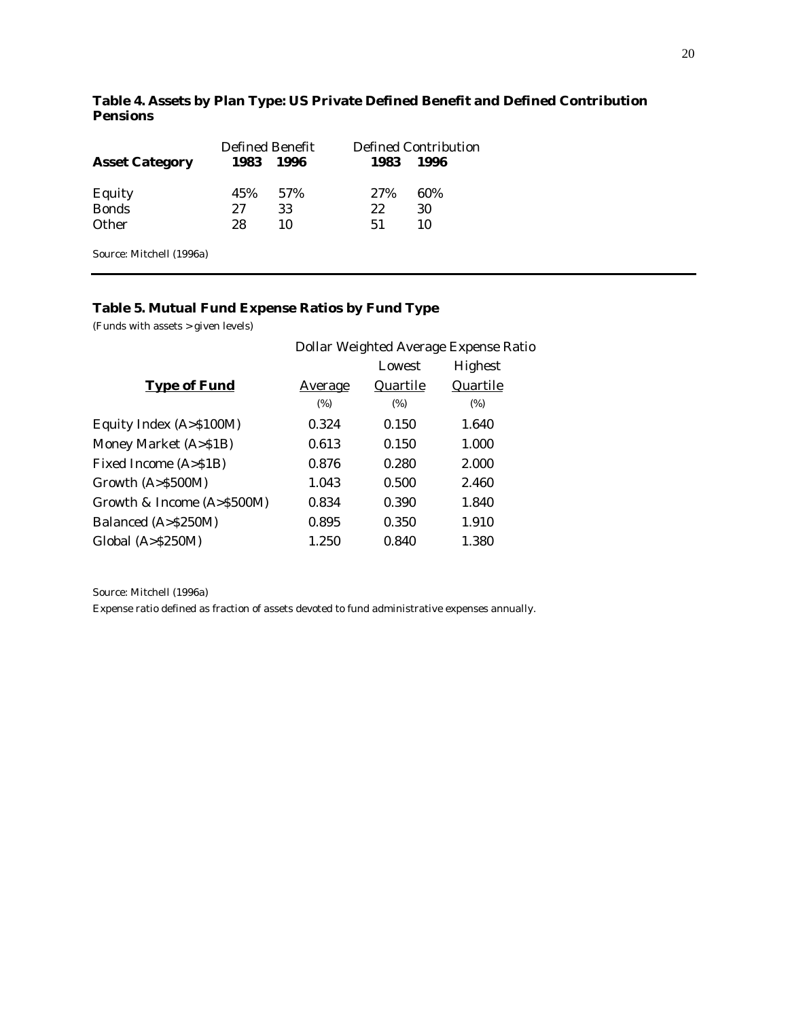|                       | <b>Defined Benefit</b> |      | Defined Contribution |      |  |
|-----------------------|------------------------|------|----------------------|------|--|
| <b>Asset Category</b> | 1983                   | 1996 | 1983                 | 1996 |  |
| Equity                | 45%                    | .57% | 27%                  | 60%  |  |
| <b>Bonds</b>          | 27                     | 33   | 22                   | 30   |  |
| <b>Other</b>          | 28                     | 10   | 51                   | 10   |  |
|                       |                        |      |                      |      |  |

## **Table 4. Assets by Plan Type: US Private Defined Benefit and Defined Contribution Pensions**

Source: Mitchell (1996a)

### **Table 5. Mutual Fund Expense Ratios by Fund Type**

(Funds with assets > given levels)

|                               | Dollar Weighted Average Expense Ratio |          |                |  |
|-------------------------------|---------------------------------------|----------|----------------|--|
|                               |                                       | Lowest   | <b>Highest</b> |  |
| <b>Type of Fund</b>           | <u>Average</u>                        | Quartile | Quartile       |  |
|                               | (%)                                   | (%)      | (%)            |  |
| Equity Index (A>\$100M)       | 0.324                                 | 0.150    | 1.640          |  |
| Money Market (A>\$1B)         | 0.613                                 | 0.150    | 1.000          |  |
| Fixed Income (A>\$1B)         | 0.876                                 | 0.280    | 2.000          |  |
| Growth (A>\$500M)             | 1.043                                 | 0.500    | 2.460          |  |
| Growth & Income $(A > $500M)$ | 0.834                                 | 0.390    | 1.840          |  |
| Balanced (A>\$250M)           | 0.895                                 | 0.350    | 1.910          |  |
| Global $(A > $250M)$          | 1.250                                 | 0.840    | 1.380          |  |
|                               |                                       |          |                |  |

Source: Mitchell (1996a) Expense ratio defined as fraction of assets devoted to fund administrative expenses annually.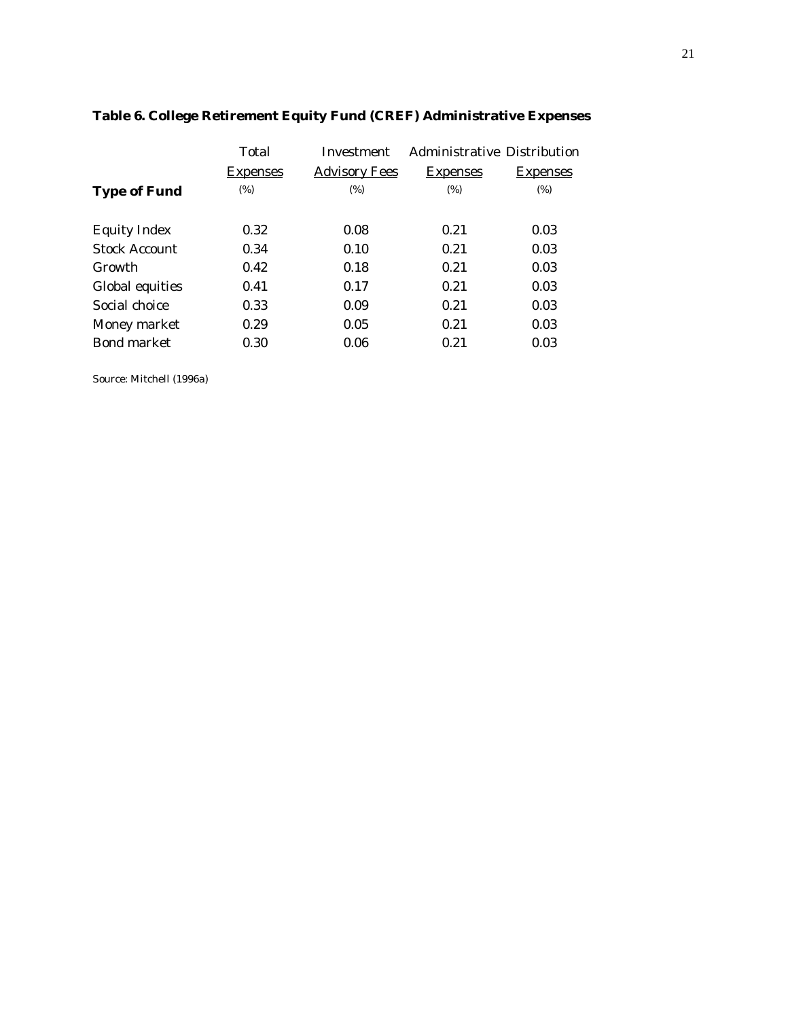|                      | Total           | Investment           |                 | <b>Administrative Distribution</b> |  |
|----------------------|-----------------|----------------------|-----------------|------------------------------------|--|
|                      | <b>Expenses</b> | <b>Advisory Fees</b> | <b>Expenses</b> | <b>Expenses</b>                    |  |
| <b>Type of Fund</b>  | (%)             | (%)                  | (%)             | (%)                                |  |
|                      |                 |                      |                 |                                    |  |
| <b>Equity Index</b>  | 0.32            | 0.08                 | 0.21            | 0.03                               |  |
| <b>Stock Account</b> | 0.34            | 0.10                 | 0.21            | 0.03                               |  |
| Growth               | 0.42            | 0.18                 | 0.21            | 0.03                               |  |
| Global equities      | 0.41            | 0.17                 | 0.21            | 0.03                               |  |
| Social choice        | 0.33            | 0.09                 | 0.21            | 0.03                               |  |
| Money market         | 0.29            | 0.05                 | 0.21            | 0.03                               |  |
| <b>Bond market</b>   | 0.30            | 0.06                 | 0.21            | 0.03                               |  |
|                      |                 |                      |                 |                                    |  |

# **Table 6. College Retirement Equity Fund (CREF) Administrative Expenses**

Source: Mitchell (1996a)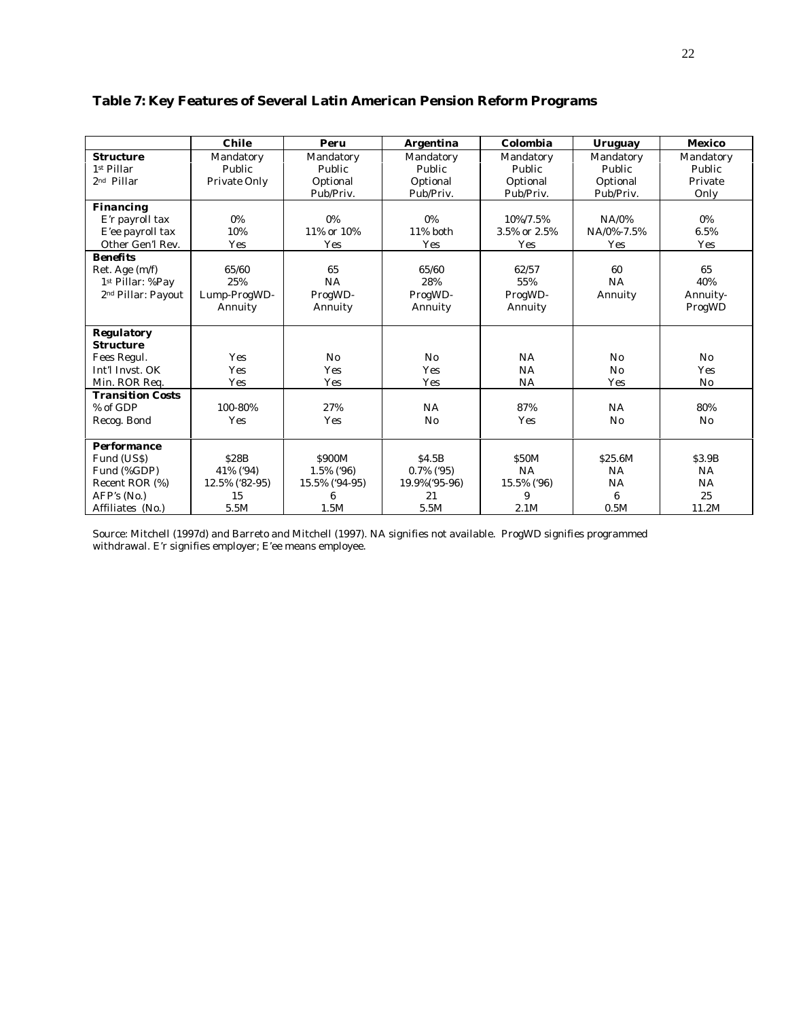# **Table 7: Key Features of Several Latin American Pension Reform Programs**

|                                | <b>Chile</b>   | Peru           | <b>Argentina</b> | Colombia     | <b>Uruguay</b> | <b>Mexico</b> |
|--------------------------------|----------------|----------------|------------------|--------------|----------------|---------------|
| <b>Structure</b>               | Mandatory      | Mandatory      | Mandatory        | Mandatory    | Mandatory      | Mandatory     |
| 1st Pillar                     | Public         | Public         | Public           | Public       | Public         | Public        |
| 2 <sup>nd</sup> Pillar         | Private Only   | Optional       | Optional         | Optional     | Optional       | Private       |
|                                |                | Pub/Priv.      | Pub/Priv.        | Pub/Priv.    | Pub/Priv.      | Only          |
| <b>Financing</b>               |                |                |                  |              |                |               |
| E'r payroll tax                | 0%             | $0\%$          | 0%               | 10%/7.5%     | $NA/0\%$       | 0%            |
| E'ee payroll tax               | 10%            | 11% or 10%     | 11% both         | 3.5% or 2.5% | NA/0%-7.5%     | 6.5%          |
| Other Gen'l Rev.               | Yes            | Yes            | Yes              | Yes          | Yes            | Yes           |
| <b>Benefits</b>                |                |                |                  |              |                |               |
| Ret. Age (m/f)                 | 65/60          | 65             | 65/60            | 62/57        | 60             | 65            |
| 1st Pillar: %Pay               | 25%            | NA             | 28%              | 55%          | <b>NA</b>      | 40%           |
| 2 <sup>nd</sup> Pillar: Payout | Lump-ProgWD-   | ProgWD-        | ProgWD-          | ProgWD-      | Annuity        | Annuity-      |
|                                | Annuity        | Annuity        | Annuity          | Annuity      |                | ProgWD        |
|                                |                |                |                  |              |                |               |
| <b>Regulatory</b>              |                |                |                  |              |                |               |
| <b>Structure</b>               |                |                |                  |              |                |               |
| Fees Regul.                    | Yes            | No             | No               | NA           | $\rm No$       | No            |
| Int'l Invst. OK                | Yes            | <b>Yes</b>     | <b>Yes</b>       | NA           | No             | Yes           |
| Min. ROR Req.                  | Yes            | Yes            | Yes              | NA           | Yes            | No            |
| <b>Transition Costs</b>        |                |                |                  |              |                |               |
| % of GDP                       | 100-80%        | 27%            | <b>NA</b>        | 87%          | <b>NA</b>      | 80%           |
| Recog. Bond                    | Yes            | Yes            | No               | Yes          | No             | No            |
|                                |                |                |                  |              |                |               |
| <b>Performance</b>             |                |                |                  |              |                |               |
| Fund (US\$)                    | <b>S28B</b>    | \$900M         | S4.5B            | <b>S50M</b>  | \$25.6M        | \$3.9B        |
| Fund (%GDP)                    | 41% ('94)      | 1.5% ('96)     | $0.7\%$ ('95)    | NA           | <b>NA</b>      | NA            |
| Recent ROR (%)                 | 12.5% ('82-95) | 15.5% ('94-95) | 19.9%('95-96)    | 15.5% ('96)  | NA             | NA            |
| AFP's (No.)                    | 15             | 6              | 21               | 9            | 6              | 25            |
| Affiliates (No.)               | 5.5M           | 1.5M           | 5.5M             | 2.1M         | 0.5M           | 11.2M         |

Source: Mitchell (1997d) and Barreto and Mitchell (1997). NA signifies not available. ProgWD signifies programmed withdrawal. E'r signifies employer; E'ee means employee.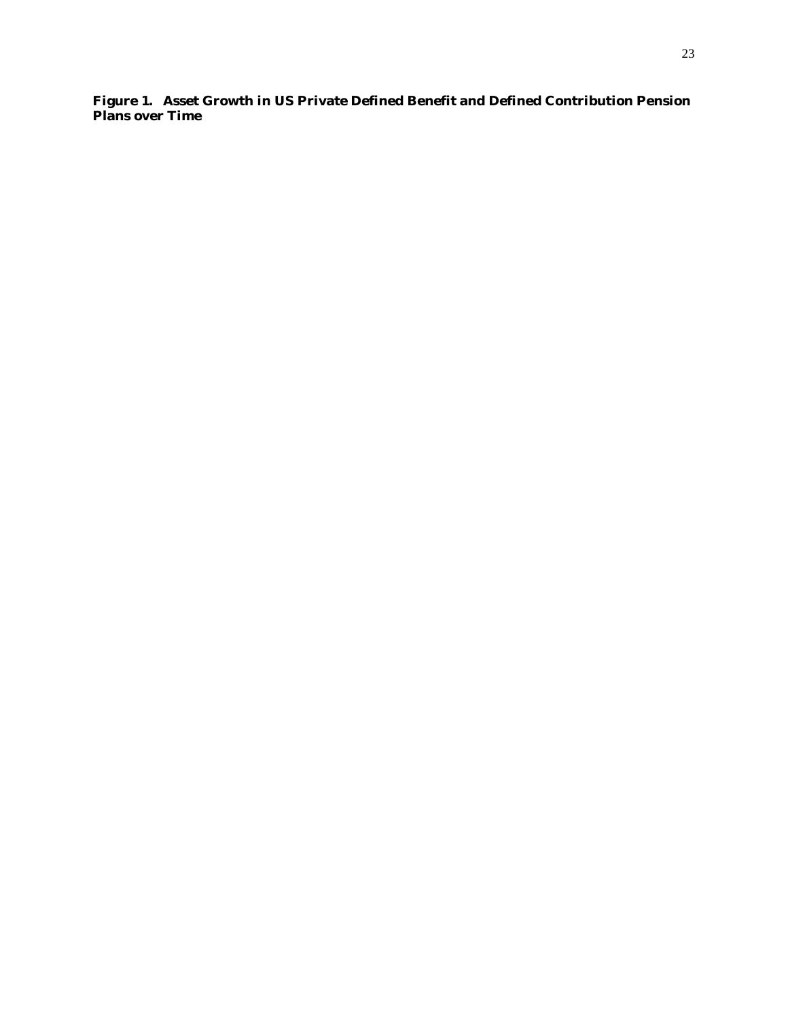**Figure 1. Asset Growth in US Private Defined Benefit and Defined Contribution Pension Plans over Time**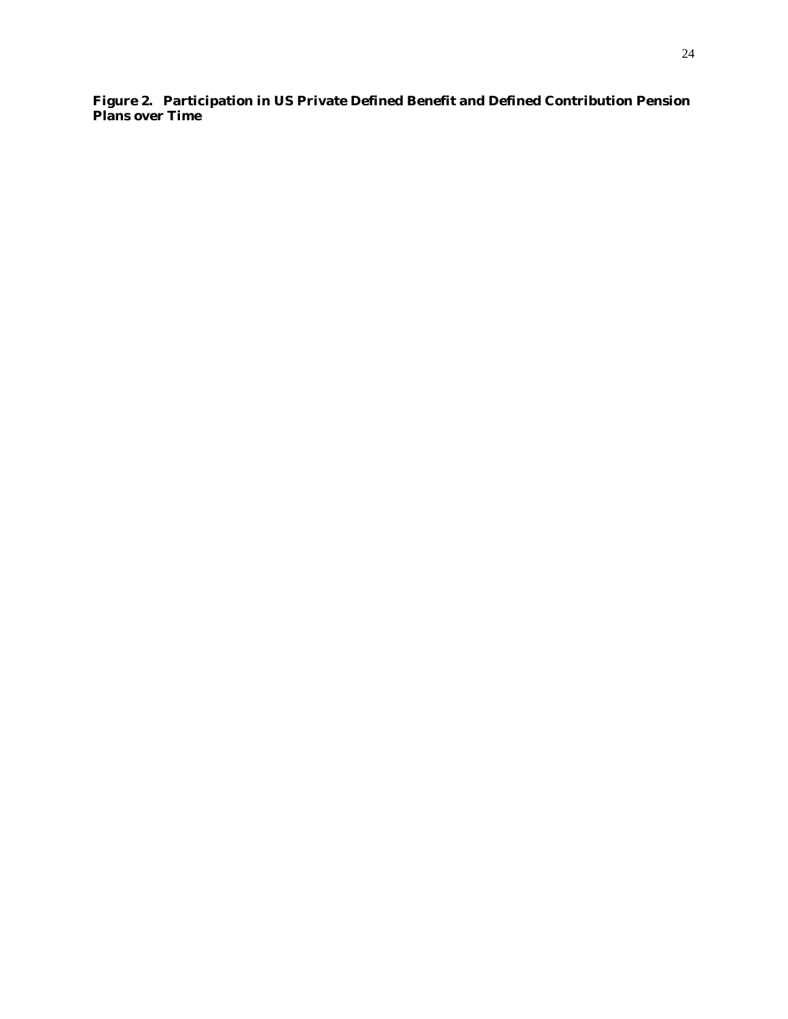**Figure 2. Participation in US Private Defined Benefit and Defined Contribution Pension Plans over Time**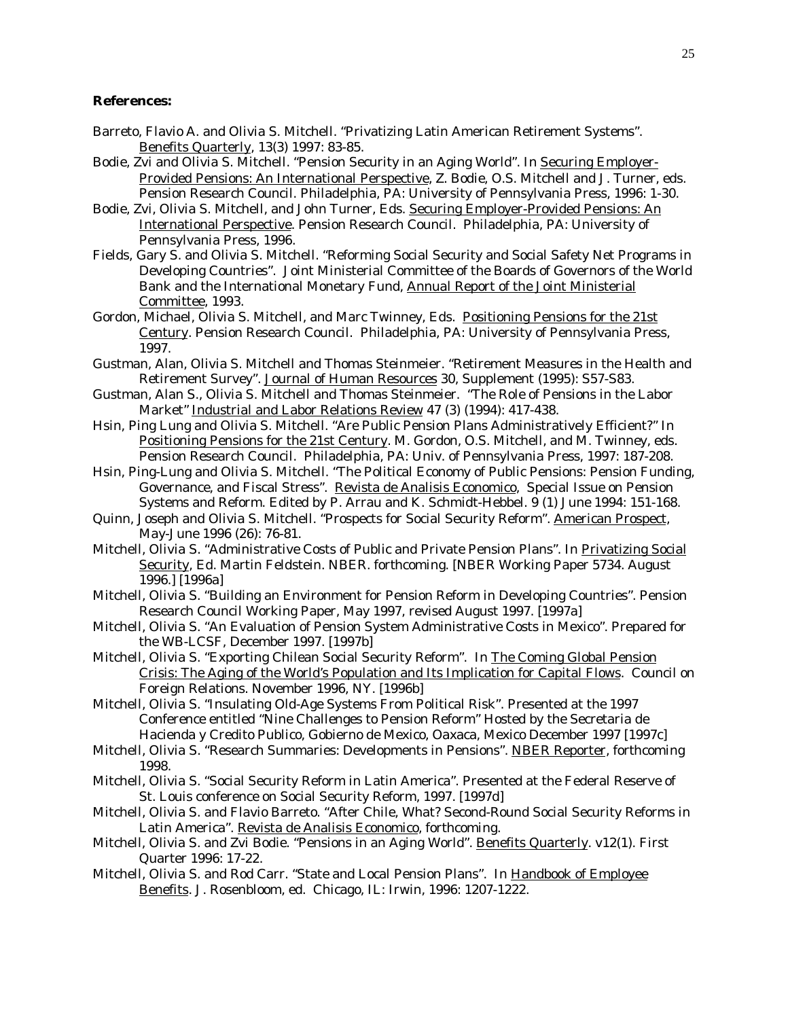#### **References:**

- Barreto, Flavio A. and Olivia S. Mitchell. "Privatizing Latin American Retirement Systems". Benefits Quarterly, 13(3) 1997: 83-85.
- Bodie, Zvi and Olivia S. Mitchell. "Pension Security in an Aging World". In Securing Employer-Provided Pensions: An International Perspective, Z. Bodie, O.S. Mitchell and J. Turner, eds. Pension Research Council. Philadelphia, PA: University of Pennsylvania Press, 1996: 1-30.
- Bodie, Zvi, Olivia S. Mitchell, and John Turner, Eds. Securing Employer-Provided Pensions: An International Perspective. Pension Research Council. Philadelphia, PA: University of Pennsylvania Press, 1996.
- Fields, Gary S. and Olivia S. Mitchell. "Reforming Social Security and Social Safety Net Programs in Developing Countries". Joint Ministerial Committee of the Boards of Governors of the World Bank and the International Monetary Fund, Annual Report of the Joint Ministerial Committee, 1993.
- Gordon, Michael, Olivia S. Mitchell, and Marc Twinney, Eds. Positioning Pensions for the 21st Century. Pension Research Council. Philadelphia, PA: University of Pennsylvania Press, 1997.
- Gustman, Alan, Olivia S. Mitchell and Thomas Steinmeier. "Retirement Measures in the Health and Retirement Survey". Journal of Human Resources 30, Supplement (1995): S57-S83.
- Gustman, Alan S., Olivia S. Mitchell and Thomas Steinmeier. "The Role of Pensions in the Labor Market" Industrial and Labor Relations Review 47 (3) (1994): 417-438.
- Hsin, Ping Lung and Olivia S. Mitchell. "Are Public Pension Plans Administratively Efficient?" In Positioning Pensions for the 21st Century. M. Gordon, O.S. Mitchell, and M. Twinney, eds. Pension Research Council. Philadelphia, PA: Univ. of Pennsylvania Press, 1997: 187-208.
- Hsin, Ping-Lung and Olivia S. Mitchell. "The Political Economy of Public Pensions: Pension Funding, Governance, and Fiscal Stress". Revista de Analisis Economico, Special Issue on Pension Systems and Reform. Edited by P. Arrau and K. Schmidt-Hebbel. 9 (1) June 1994: 151-168.
- Quinn, Joseph and Olivia S. Mitchell. "Prospects for Social Security Reform". American Prospect, May-June 1996 (26): 76-81.
- Mitchell, Olivia S. "Administrative Costs of Public and Private Pension Plans". In Privatizing Social Security, Ed. Martin Feldstein. NBER. *forthcoming*. [NBER Working Paper 5734. August 1996.] [1996a]
- Mitchell, Olivia S. "Building an Environment for Pension Reform in Developing Countries". Pension Research Council Working Paper, May 1997, revised August 1997. [1997a]
- Mitchell, Olivia S. "An Evaluation of Pension System Administrative Costs in Mexico". Prepared for the WB-LCSF, December 1997. [1997b]
- Mitchell, Olivia S. "Exporting Chilean Social Security Reform". In The Coming Global Pension Crisis: The Aging of the World's Population and Its Implication for Capital Flows. Council on Foreign Relations. November 1996, NY. [1996b]
- Mitchell, Olivia S. "Insulating Old-Age Systems From Political Risk". Presented at the 1997 Conference entitled "Nine Challenges to Pension Reform" Hosted by the Secretaria de Hacienda y Credito Publico, Gobierno de Mexico, Oaxaca, Mexico December 1997 [1997c]
- Mitchell, Olivia S. "Research Summaries: Developments in Pensions". NBER Reporter, *forthcoming* 1998.
- Mitchell, Olivia S. "Social Security Reform in Latin America". Presented at the Federal Reserve of St. Louis conference on Social Security Reform, 1997. [1997d]
- Mitchell, Olivia S. and Flavio Barreto. "After Chile, What? Second-Round Social Security Reforms in Latin America". Revista de Analisis Economico, *forthcoming*.
- Mitchell, Olivia S. and Zvi Bodie. "Pensions in an Aging World". Benefits Quarterly. v12(1). First Quarter 1996: 17-22.
- Mitchell, Olivia S. and Rod Carr. "State and Local Pension Plans". In Handbook of Employee Benefits. J. Rosenbloom, ed. Chicago, IL: Irwin, 1996: 1207-1222.